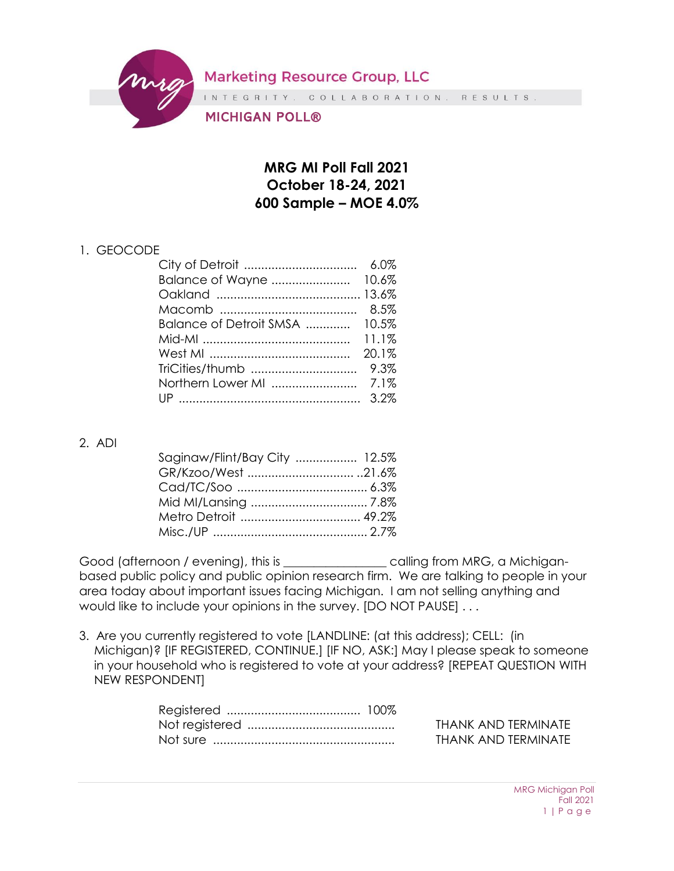**Marketing Resource Group, LLC** 

INTEGRITY. COLLABORATION. RESULTS.

MICHIGAN POLL®

## **MRG MI Poll Fall 2021 October 18-24, 2021 600 Sample – MOE 4.0%**

## 1. GEOCODE

| Balance of Detroit SMSA  10.5% |       |
|--------------------------------|-------|
|                                |       |
|                                | 20.1% |
|                                |       |
|                                |       |
|                                |       |
|                                |       |

## 2. ADI

| Saginaw/Flint/Bay City  12.5% |  |
|-------------------------------|--|
|                               |  |
|                               |  |
|                               |  |
|                               |  |
|                               |  |

Good (afternoon / evening), this is \_\_\_\_\_\_\_\_\_\_\_\_\_\_\_\_\_ calling from MRG, a Michiganbased public policy and public opinion research firm. We are talking to people in your area today about important issues facing Michigan. I am not selling anything and would like to include your opinions in the survey. [DO NOT PAUSE] . . .

3. Are you currently registered to vote [LANDLINE: (at this address); CELL: (in Michigan)? [IF REGISTERED, CONTINUE.] [IF NO, ASK:] May I please speak to someone in your household who is registered to vote at your address? [REPEAT QUESTION WITH NEW RESPONDENT]

THANK AND TERMINATE THANK AND TERMINATE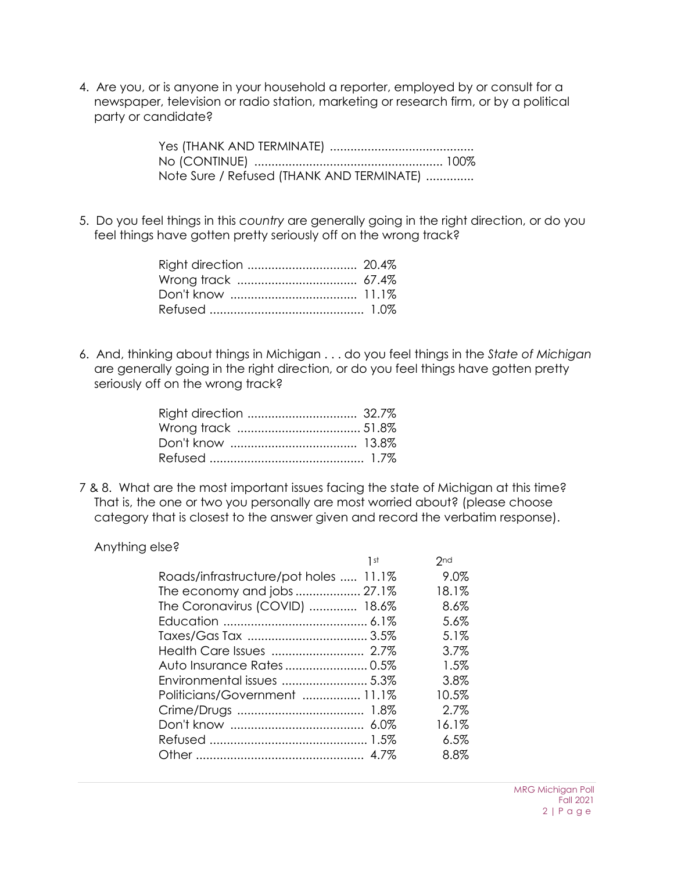4. Are you, or is anyone in your household a reporter, employed by or consult for a newspaper, television or radio station, marketing or research firm, or by a political party or candidate?

> Yes (THANK AND TERMINATE) .......................................... No (CONTINUE) ....................................................... 100% Note Sure / Refused (THANK AND TERMINATE) ..............

5. Do you feel things in this *country* are generally going in the right direction, or do you feel things have gotten pretty seriously off on the wrong track?

6. And, thinking about things in Michigan . . . do you feel things in the *State of Michigan* are generally going in the right direction, or do you feel things have gotten pretty seriously off on the wrong track?

7 & 8. What are the most important issues facing the state of Michigan at this time? That is, the one or two you personally are most worried about? (please choose category that is closest to the answer given and record the verbatim response).

Anything else?

| Roads/infrastructure/pot holes  11.1%<br>The economy and jobs  27.1%<br>The Coronavirus (COVID)  18.6%<br>Politicians/Government  11.1% | 1 st | 2nd     |
|-----------------------------------------------------------------------------------------------------------------------------------------|------|---------|
|                                                                                                                                         |      | 9.0%    |
|                                                                                                                                         |      | 18.1%   |
|                                                                                                                                         |      | 8.6%    |
|                                                                                                                                         |      | 5.6%    |
|                                                                                                                                         |      | 5.1%    |
|                                                                                                                                         |      | 3.7%    |
|                                                                                                                                         |      | 1.5%    |
|                                                                                                                                         |      | 3.8%    |
|                                                                                                                                         |      | 10.5%   |
|                                                                                                                                         |      | 2.7%    |
|                                                                                                                                         |      | 16.1%   |
|                                                                                                                                         |      | 6.5%    |
|                                                                                                                                         |      | $8.8\%$ |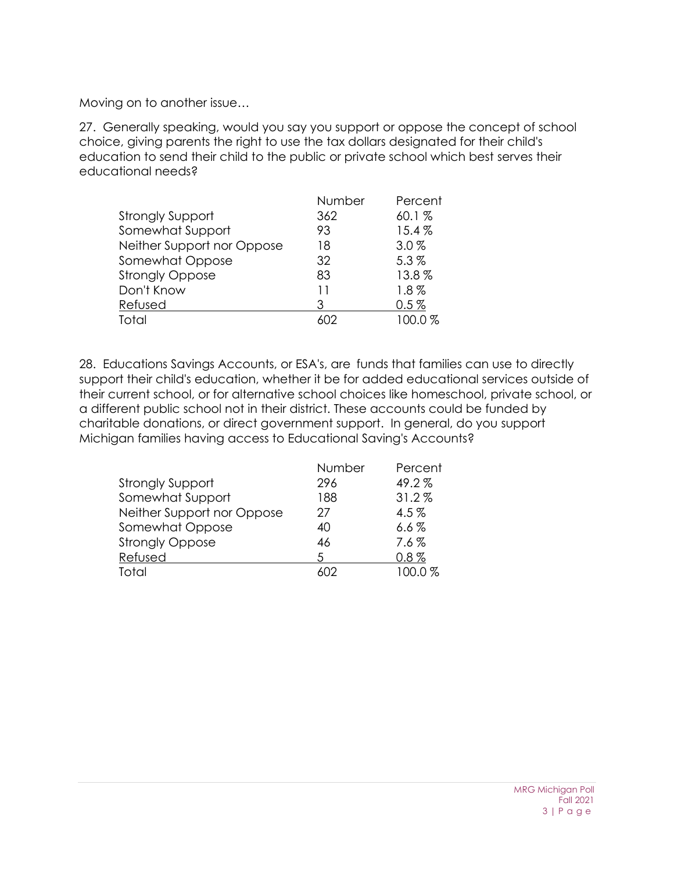Moving on to another issue…

27. Generally speaking, would you say you support or oppose the concept of school choice, giving parents the right to use the tax dollars designated for their child's education to send their child to the public or private school which best serves their educational needs?

|                            | Number | Percent |
|----------------------------|--------|---------|
| <b>Strongly Support</b>    | 362    | 60.1%   |
| Somewhat Support           | 93     | 15.4%   |
| Neither Support nor Oppose | 18     | 3.0%    |
| Somewhat Oppose            | 32     | 5.3%    |
| <b>Strongly Oppose</b>     | 83     | 13.8%   |
| Don't Know                 | 11     | $1.8\%$ |
| Refused                    | З      | 0.5%    |
| Total                      | ለበ2    | 100.0%  |

28. Educations Savings Accounts, or ESA's, are funds that families can use to directly support their child's education, whether it be for added educational services outside of their current school, or for alternative school choices like homeschool, private school, or a different public school not in their district. These accounts could be funded by charitable donations, or direct government support. In general, do you support Michigan families having access to Educational Saving's Accounts?

|                            | Number | Percent |
|----------------------------|--------|---------|
| <b>Strongly Support</b>    | 296    | 49.2%   |
| Somewhat Support           | 188    | 31.2%   |
| Neither Support nor Oppose | 27     | $4.5\%$ |
| Somewhat Oppose            | 40     | $6.6\%$ |
| <b>Strongly Oppose</b>     | 46     | $7.6\%$ |
| Refused                    | 5      | $0.8\%$ |
| Total                      |        | 100.0%  |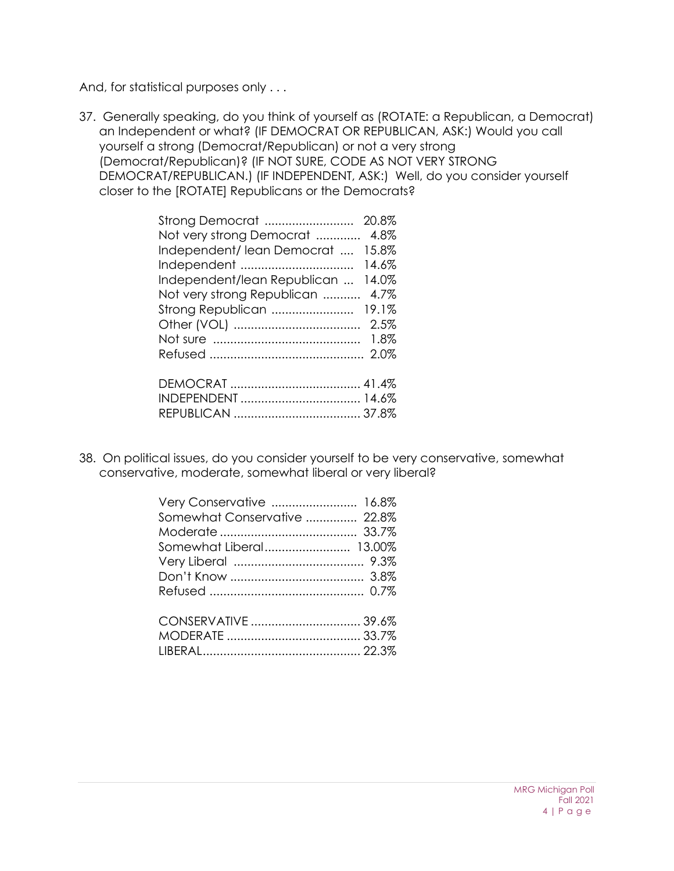And, for statistical purposes only . . .

37. Generally speaking, do you think of yourself as (ROTATE: a Republican, a Democrat) an Independent or what? (IF DEMOCRAT OR REPUBLICAN, ASK:) Would you call yourself a strong (Democrat/Republican) or not a very strong (Democrat/Republican)? (IF NOT SURE, CODE AS NOT VERY STRONG DEMOCRAT/REPUBLICAN.) (IF INDEPENDENT, ASK:) Well, do you consider yourself closer to the [ROTATE] Republicans or the Democrats?

| Strong Democrat             | 20.8% |
|-----------------------------|-------|
| Not very strong Democrat    | 4.8%  |
| Independent/lean Democrat   | 15.8% |
| Independent                 | 14.6% |
| Independent/lean Republican | 14.0% |
| Not very strong Republican  | 4.7%  |
| Strong Republican           | 19.1% |
|                             | 2.5%  |
|                             | 1.8%  |
|                             |       |
|                             |       |
|                             |       |
|                             |       |
|                             |       |

38. On political issues, do you consider yourself to be very conservative, somewhat conservative, moderate, somewhat liberal or very liberal?

| Very Conservative  16.8%     |  |
|------------------------------|--|
| Somewhat Conservative  22.8% |  |
|                              |  |
|                              |  |
|                              |  |
|                              |  |
|                              |  |
|                              |  |
|                              |  |
|                              |  |
|                              |  |
|                              |  |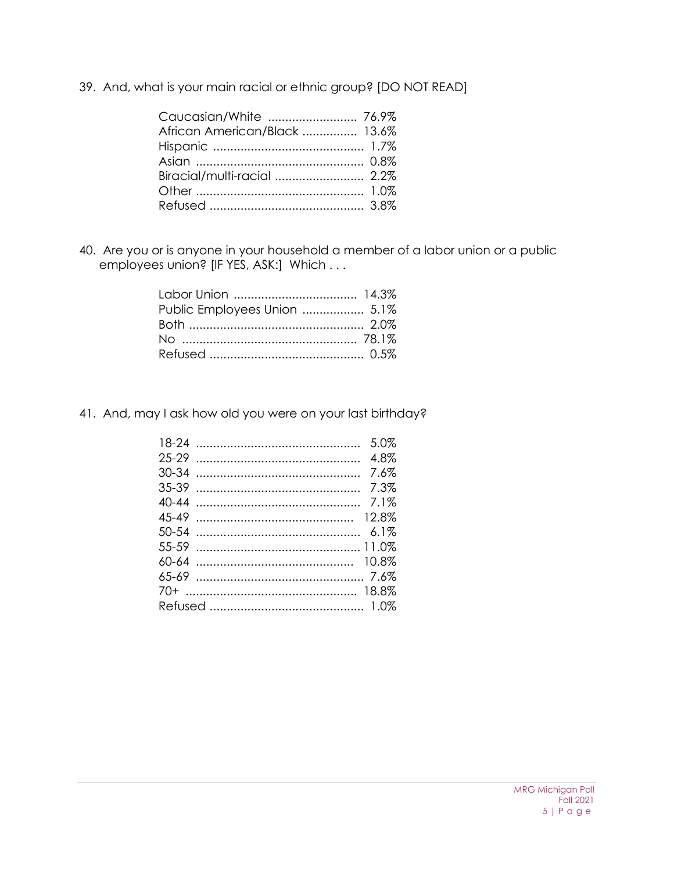39. And, what is your main racial or ethnic group? [DO NOT READ]

| Caucasian/White  76.9%        |  |
|-------------------------------|--|
| African American/Black  13.6% |  |
|                               |  |
|                               |  |
|                               |  |
|                               |  |
|                               |  |

40. Are you or is anyone in your household a member of a labor union or a public employees union? [IF YES, ASK:] Which . . .

| Public Employees Union  5.1% |  |
|------------------------------|--|
|                              |  |
|                              |  |
|                              |  |

41. And, may I ask how old you were on your last birthday?

| 5.0%    |
|---------|
| 4.8%    |
| 7.6%    |
| 7.3%    |
| 7.1%    |
| 12.8%   |
| $6.1\%$ |
|         |
|         |
|         |
|         |
|         |
|         |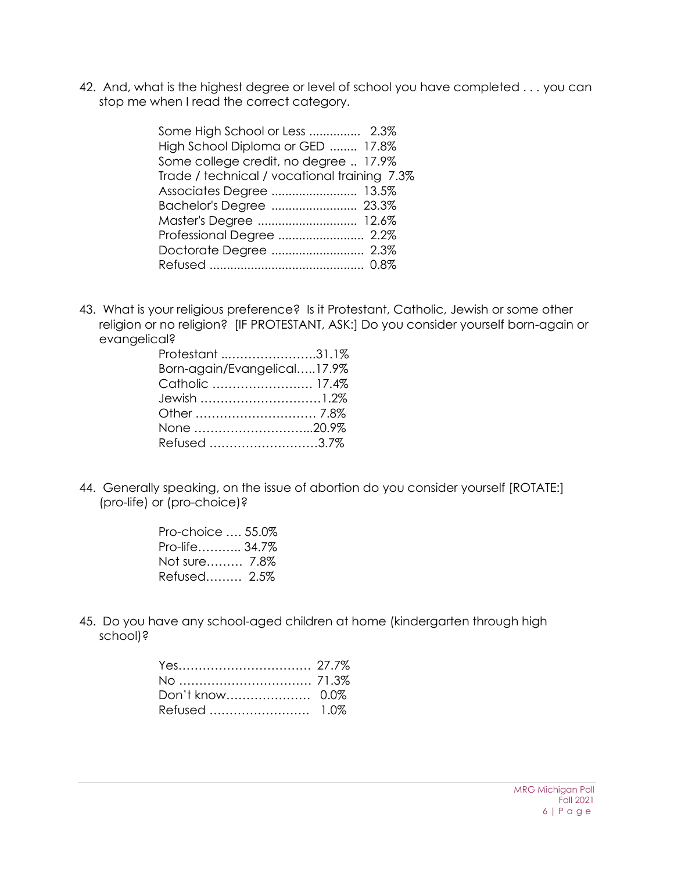42. And, what is the highest degree or level of school you have completed . . . you can stop me when I read the correct category.

| Some High School or Less  2.3%               |
|----------------------------------------------|
| High School Diploma or GED  17.8%            |
| Some college credit, no degree  17.9%        |
| Trade / technical / vocational training 7.3% |
| Associates Degree  13.5%                     |
| Bachelor's Degree  23.3%                     |
| Master's Degree  12.6%                       |
| Professional Degree  2.2%                    |
| Doctorate Degree  2.3%                       |
|                                              |
|                                              |

43. What is your religious preference? Is it Protestant, Catholic, Jewish or some other religion or no religion? [IF PROTESTANT, ASK:] Do you consider yourself born-again or evangelical?

| Protestant 31.1%            |  |
|-----------------------------|--|
| Born-again/Evangelical17.9% |  |
| Catholic  17.4%             |  |
| Jewish 1.2%                 |  |
|                             |  |
| None 20.9%                  |  |
| Refused 3.7%                |  |

44. Generally speaking, on the issue of abortion do you consider yourself [ROTATE:] (pro-life) or (pro-choice)?

| Pro-choice , 55.0% |  |
|--------------------|--|
| Pro-life 34.7%     |  |
| Not sure 7.8%      |  |
| Refused 2.5%       |  |

45. Do you have any school-aged children at home (kindergarten through high school)?